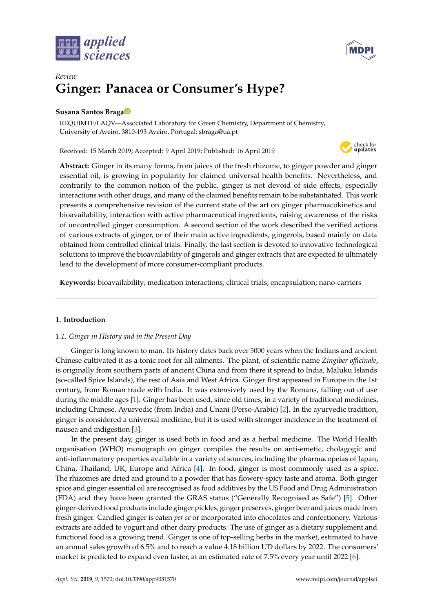



# *Review* **Ginger: Panacea or Consumer's Hype?**

# **Susana Santos Brag[a](https://orcid.org/0000-0003-4460-970X)**

REQUIMTE/LAQV—Associated Laboratory for Green Chemistry, Department of Chemistry, University of Aveiro, 3810-193 Aveiro, Portugal; sbraga@ua.pt

Received: 15 March 2019; Accepted: 9 April 2019; Published: 16 April 2019



**Abstract:** Ginger in its many forms, from juices of the fresh rhizome, to ginger powder and ginger essential oil, is growing in popularity for claimed universal health benefits. Nevertheless, and contrarily to the common notion of the public, ginger is not devoid of side effects, especially interactions with other drugs, and many of the claimed benefits remain to be substantiated. This work presents a comprehensive revision of the current state of the art on ginger pharmacokinetics and bioavailability, interaction with active pharmaceutical ingredients, raising awareness of the risks of uncontrolled ginger consumption. A second section of the work described the verified actions of various extracts of ginger, or of their main active ingredients, gingerols, based mainly on data obtained from controlled clinical trials. Finally, the last section is devoted to innovative technological solutions to improve the bioavailability of gingerols and ginger extracts that are expected to ultimately lead to the development of more consumer-compliant products.

**Keywords:** bioavailability; medication interactions; clinical trials; encapsulation; nano-carriers

# **1. Introduction**

# *1.1. Ginger in History and in the Present Day*

Ginger is long known to man. Its history dates back over 5000 years when the Indians and ancient Chinese cultivated it as a tonic root for all ailments. The plant, of scientific name *Zingiber o*ffi*cinale*, is originally from southern parts of ancient China and from there it spread to India, Maluku Islands (so-called Spice Islands), the rest of Asia and West Africa. Ginger first appeared in Europe in the 1st century, from Roman trade with India. It was extensively used by the Romans, falling out of use during the middle ages [\[1\]](#page-10-0). Ginger has been used, since old times, in a variety of traditional medicines, including Chinese, Ayurvedic (from India) and Unani (Perso-Arabic) [\[2\]](#page-10-1). In the ayurvedic tradition, ginger is considered a universal medicine, but it is used with stronger incidence in the treatment of nausea and indigestion [\[3\]](#page-10-2).

In the present day, ginger is used both in food and as a herbal medicine. The World Health organisation (WHO) monograph on ginger compiles the results on anti-emetic, cholagogic and anti-inflammatory properties available in a variety of sources, including the pharmacopeias of Japan, China, Thailand, UK, Europe and Africa [\[4\]](#page-10-3). In food, ginger is most commonly used as a spice. The rhizomes are dried and ground to a powder that has flowery-spicy taste and aroma. Both ginger spice and ginger essential oil are recognised as food additives by the US Food and Drug Administration (FDA) and they have been granted the GRAS status ("Generally Recognised as Safe") [\[5\]](#page-10-4). Other ginger-derived food products include ginger pickles, ginger preserves, ginger beer and juices made from fresh ginger. Candied ginger is eaten *per se* or incorporated into chocolates and confectionery. Various extracts are added to yogurt and other dairy products. The use of ginger as a dietary supplement and functional food is a growing trend. Ginger is one of top-selling herbs in the market, estimated to have an annual sales growth of 6.5% and to reach a value 4.18 billion UD dollars by 2022. The consumers' market is predicted to expand even faster, at an estimated rate of 7.5% every year until 2022 [\[6\]](#page-10-5).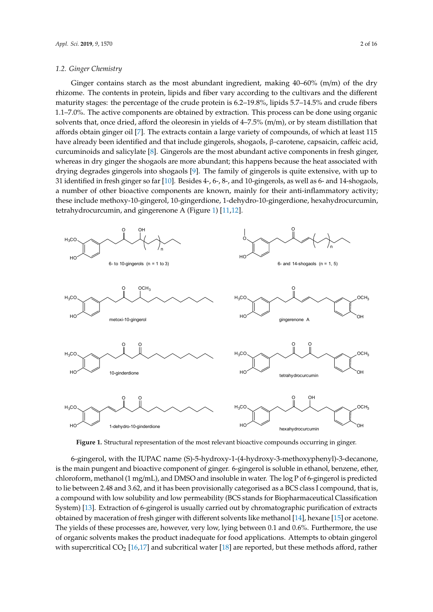#### <span id="page-1-1"></span>*1.2. Ginger Chemistry*  $G_{\alpha}$  contains starting ingredient, making  $40$

Ginger contains starch as the most abundant ingredient, making  $40-60\%$  (m/m) of the dry rhizome. The contents in protein, lipids and fiber vary according to the cultivars and the different maturity stages: the percentage of the crude protein is 6.2–19.8%, lipids 5.7–14.5% and crude fibers 1.1–7.0%. The active components are obtained by extraction. This process can be done using organic solvents that, once dried, afford the oleoresin in yields of  $4-7.5\%$  (m/m), or by steam distillation that affords obtain ginger oil [\[7\]](#page-10-6). The extracts contain a large variety of compounds, of which at least  $115\,$ have already been identified and that include gingerols, shogaols, β-carotene, capsaicin, caffeic acid, curcuminoids and salicylate [\[8\]](#page-10-7). Gingerols are the most abundant active components in fresh ginger, whereas in dry ginger the shogaols are more abundant; this happens because the heat associated with drying degrades gingerols into shogaols [\[9\]](#page-10-8). The family of gingerols is quite extensive, with up to 31 identified in fresh ginger so far [\[10\]](#page-11-0). Besides 4-, 6-, 8-, and 10-gingerols, as well as 6- and 14-shogaols, a number of other bioactive components are known, mainly for their anti-inflammatory activity; these include methoxy-10-gingerol, 10-gingerdione, 1-dehydro-10-gingerdione, hexahydrocurcumin, tetrahydrocurcumin, and gingerenone A (Figure [1\)](#page-1-0) [\[11](#page-11-1)[,12\]](#page-11-2). [11,12].

<span id="page-1-0"></span>

**Figure 1.** Structural representation of the most relevant bioactive compounds occurring in ginger. **Figure 1.** Structural representation of the most relevant bioactive compounds occurring in ginger.

6-gingerol, with the IUPAC name (S)-5-hydroxy-1-(4-hydroxy-3-methoxyphenyl)-3-decanone, 6-gingerol, with the IUPAC name (S)-5-hydroxy-1-(4-hydroxy-3-methoxyphenyl)-3-decanone, is the main pungent and bioactive component of ginger. 6-gingerol is soluble in ethanol, benzene, is the main pungent and bioactive component of ginger. 6-gingerol is soluble in ethanol, benzene, ether, chloroform, methanol (1 mg/mL), and DMSO and insoluble in water. The log P of 6-gingerol is predicted to lie between 2.48 and 3.62, and it has been provisionally categorised as a BCS class I compound, that is, a compound with low solubility and low permeability (BCS stands for Biopharmaceutical Classification System) [\[13\]](#page-11-3). Extraction of 6-gingerol is usually carried out by chromatographic purification of extracts obtained by maceration of fresh ginger with different solvents like methanol [\[14\]](#page-11-4), hexane [\[15\]](#page-11-5) or acetone. The yields of these processes are, however, very low, lying between  $0.1$  and  $0.6\%$ . Furthermore, the use of organic solvents makes the product inadequate for food applications. Attempts to obtain gingerol with supercritical  $CO_2$  [\[16,](#page-11-6)[17\]](#page-11-7) and subcritical water [\[18\]](#page-11-8) are reported, but these methods afford, rather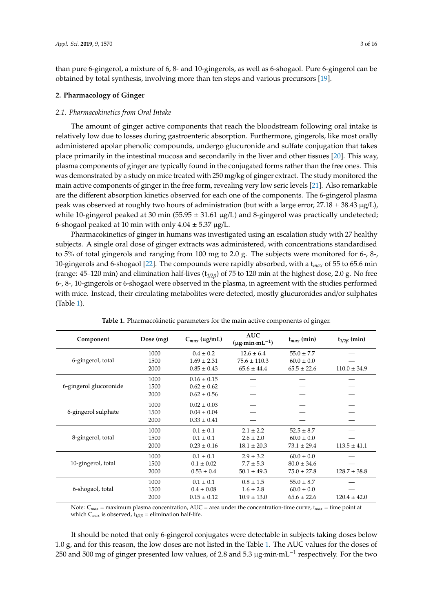than pure 6-gingerol, a mixture of 6, 8- and 10-gingerols, as well as 6-shogaol. Pure 6-gingerol can be obtained by total synthesis, involving more than ten steps and various precursors [\[19\]](#page-11-9).

#### **2. Pharmacology of Ginger**

#### *2.1. Pharmacokinetics from Oral Intake*

The amount of ginger active components that reach the bloodstream following oral intake is relatively low due to losses during gastroenteric absorption. Furthermore, gingerols, like most orally administered apolar phenolic compounds, undergo glucuronide and sulfate conjugation that takes place primarily in the intestinal mucosa and secondarily in the liver and other tissues [\[20\]](#page-11-10). This way, plasma components of ginger are typically found in the conjugated forms rather than the free ones. This was demonstrated by a study on mice treated with 250 mg/kg of ginger extract. The study monitored the main active components of ginger in the free form, revealing very low seric levels [\[21\]](#page-11-11). Also remarkable are the different absorption kinetics observed for each one of the components. The 6-gingerol plasma peak was observed at roughly two hours of administration (but with a large error,  $27.18 \pm 38.43 \,\mu g/L$ ), while 10-gingerol peaked at 30 min ( $55.95 \pm 31.61 \mu g/L$ ) and 8-gingerol was practically undetected; 6-shogaol peaked at 10 min with only  $4.04 \pm 5.37 \mu g/L$ .

Pharmacokinetics of ginger in humans was investigated using an escalation study with 27 healthy subjects. A single oral dose of ginger extracts was administered, with concentrations standardised to 5% of total gingerols and ranging from 100 mg to 2.0 g. The subjects were monitored for 6-, 8-, 10-gingerols and 6-shogaol [\[22\]](#page-11-12). The compounds were rapidly absorbed, with a t*max* of 55 to 65.6 min (range: 45–120 min) and elimination half-lives (t*1*/*2*β) of 75 to 120 min at the highest dose, 2.0 g. No free 6-, 8-, 10-gingerols or 6-shogaol were observed in the plasma, in agreement with the studies performed with mice. Instead, their circulating metabolites were detected, mostly glucuronides and/or sulphates (Table [1\)](#page-2-0).

<span id="page-2-0"></span>

| Component              | Dose (mg) | $C_{max}$ (µg/mL) | <b>AUC</b><br>$(\mu \mathbf{g} \cdot \mathbf{min} \cdot \mathbf{m} \mathbf{L}^{-1})$ | $t_{max}$ (min) | $t_{1/2\beta}$ (min) |
|------------------------|-----------|-------------------|--------------------------------------------------------------------------------------|-----------------|----------------------|
| 6-gingerol, total      | 1000      | $0.4 \pm 0.2$     | $12.6 \pm 6.4$                                                                       | $55.0 \pm 7.7$  |                      |
|                        | 1500      | $1.69 \pm 2.31$   | $75.6 \pm 110.3$                                                                     | $60.0 \pm 0.0$  |                      |
|                        | 2000      | $0.85 \pm 0.43$   | $65.6 \pm 44.4$                                                                      | $65.5 \pm 22.6$ | $110.0 \pm 34.9$     |
| 6-gingerol glucoronide | 1000      | $0.16 \pm 0.15$   |                                                                                      |                 |                      |
|                        | 1500      | $0.62 \pm 0.62$   |                                                                                      |                 |                      |
|                        | 2000      | $0.62 \pm 0.56$   |                                                                                      |                 |                      |
| 6-gingerol sulphate    | 1000      | $0.02 \pm 0.03$   |                                                                                      |                 |                      |
|                        | 1500      | $0.04 \pm 0.04$   |                                                                                      |                 |                      |
|                        | 2000      | $0.33 \pm 0.41$   |                                                                                      |                 |                      |
| 8-gingerol, total      | 1000      | $0.1 \pm 0.1$     | $2.1 \pm 2.2$                                                                        | $52.5 \pm 8.7$  |                      |
|                        | 1500      | $0.1 \pm 0.1$     | $2.6 \pm 2.0$                                                                        | $60.0 \pm 0.0$  |                      |
|                        | 2000      | $0.23 \pm 0.16$   | $18.1 \pm 20.3$                                                                      | $73.1 \pm 29.4$ | $113.5 \pm 41.1$     |
| 10-gingerol, total     | 1000      | $0.1 + 0.1$       | $2.9 \pm 3.2$                                                                        | $60.0 \pm 0.0$  |                      |
|                        | 1500      | $0.1 \pm 0.02$    | $7.7 \pm 5.3$                                                                        | $80.0 \pm 34.6$ |                      |
|                        | 2000      | $0.53 \pm 0.4$    | $50.1 \pm 49.3$                                                                      | $75.0 \pm 27.8$ | $128.7 \pm 38.8$     |
| 6-shogaol, total       | 1000      | $0.1 \pm 0.1$     | $0.8 \pm 1.5$                                                                        | $55.0 \pm 8.7$  |                      |
|                        | 1500      | $0.4 \pm 0.08$    | $1.6 \pm 2.8$                                                                        | $60.0 \pm 0.0$  |                      |
|                        | 2000      | $0.15 \pm 0.12$   | $10.9 \pm 13.0$                                                                      | $65.6 \pm 22.6$ | $120.4 \pm 42.0$     |
|                        |           |                   |                                                                                      |                 |                      |

**Table 1.** Pharmacokinetic parameters for the main active components of ginger.

Note: C*max* = maximum plasma concentration, AUC = area under the concentration-time curve, t*max* = time point at which  $C_{max}$  is observed,  $t_{1/2\beta}$  = elimination half-life.

It should be noted that only 6-gingerol conjugates were detectable in subjects taking doses below 1.0 g, and for this reason, the low doses are not listed in the Table [1.](#page-2-0) The AUC values for the doses of 250 and 500 mg of ginger presented low values, of 2.8 and 5.3 µg·min·mL<sup>-1</sup> respectively. For the two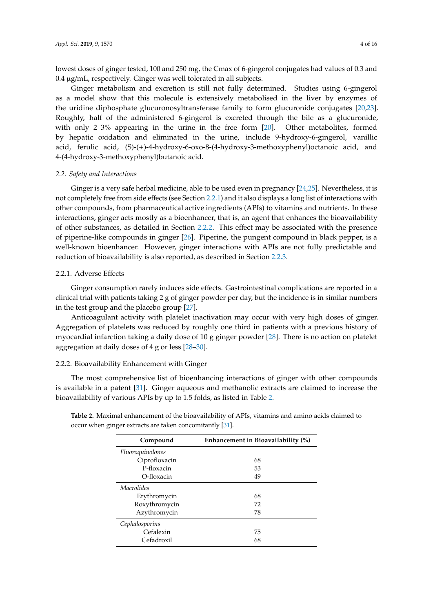lowest doses of ginger tested, 100 and 250 mg, the Cmax of 6-gingerol conjugates had values of 0.3 and 0.4 µg/mL, respectively. Ginger was well tolerated in all subjects.

Ginger metabolism and excretion is still not fully determined. Studies using 6-gingerol as a model show that this molecule is extensively metabolised in the liver by enzymes of the uridine diphosphate glucuronosyltransferase family to form glucuronide conjugates [\[20,](#page-11-10)[23\]](#page-11-13). Roughly, half of the administered 6-gingerol is excreted through the bile as a glucuronide, with only 2–3% appearing in the urine in the free form [\[20\]](#page-11-10). Other metabolites, formed by hepatic oxidation and eliminated in the urine, include 9-hydroxy-6-gingerol, vanillic acid, ferulic acid, (S)-(+)-4-hydroxy-6-oxo-8-(4-hydroxy-3-methoxyphenyl)octanoic acid, and 4-(4-hydroxy-3-methoxyphenyl)butanoic acid.

#### *2.2. Safety and Interactions*

Ginger is a very safe herbal medicine, able to be used even in pregnancy [\[24,](#page-11-14)[25\]](#page-11-15). Nevertheless, it is not completely free from side effects (see Section [2.2.1\)](#page-3-0) and it also displays a long list of interactions with other compounds, from pharmaceutical active ingredients (APIs) to vitamins and nutrients. In these interactions, ginger acts mostly as a bioenhancer, that is, an agent that enhances the bioavailability of other substances, as detailed in Section [2.2.2.](#page-3-1) This effect may be associated with the presence of piperine-like compounds in ginger [\[26\]](#page-11-16). Piperine, the pungent compound in black pepper, is a well-known bioenhancer. However, ginger interactions with APIs are not fully predictable and reduction of bioavailability is also reported, as described in Section [2.2.3.](#page-5-0)

### <span id="page-3-0"></span>2.2.1. Adverse Effects

Ginger consumption rarely induces side effects. Gastrointestinal complications are reported in a clinical trial with patients taking 2 g of ginger powder per day, but the incidence is in similar numbers in the test group and the placebo group [\[27\]](#page-11-17).

Anticoagulant activity with platelet inactivation may occur with very high doses of ginger. Aggregation of platelets was reduced by roughly one third in patients with a previous history of myocardial infarction taking a daily dose of 10 g ginger powder [\[28\]](#page-11-18). There is no action on platelet aggregation at daily doses of 4 g or less [\[28–](#page-11-18)[30\]](#page-11-19).

# <span id="page-3-1"></span>2.2.2. Bioavailability Enhancement with Ginger

The most comprehensive list of bioenhancing interactions of ginger with other compounds is available in a patent [\[31\]](#page-12-0). Ginger aqueous and methanolic extracts are claimed to increase the bioavailability of various APIs by up to 1.5 folds, as listed in Table [2.](#page-4-0)

| Compound         | Enhancement in Bioavailability (%) |  |
|------------------|------------------------------------|--|
| Fluoroquinolones |                                    |  |
| Ciprofloxacin    | 68                                 |  |
| P-floxacin       | 53                                 |  |
| O-floxacin       | 49                                 |  |
| Macrolides       |                                    |  |
| Erythromycin     | 68                                 |  |
| Roxythromycin    | 72                                 |  |
| Azythromycin     | 78                                 |  |
| Cephalosporins   |                                    |  |
| Cefalexin        | 75                                 |  |
| Cefadroxil       | 68                                 |  |

**Table 2.** Maximal enhancement of the bioavailability of APIs, vitamins and amino acids claimed to occur when ginger extracts are taken concomitantly [\[31\]](#page-12-0).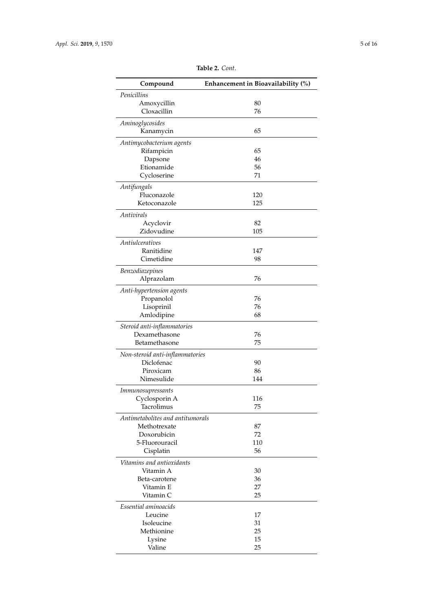<span id="page-4-0"></span>

| Compound                         | Enhancement in Bioavailability (%) |
|----------------------------------|------------------------------------|
| Penicillins                      |                                    |
| Amoxycillin                      | 80                                 |
| Cloxacillin                      | 76                                 |
| Aminoglycosides                  |                                    |
| Kanamycin                        | 65                                 |
| Antimycobacterium agents         |                                    |
| Rifampicin                       | 65                                 |
| Dapsone                          | 46                                 |
| Etionamide                       | 56                                 |
| Cycloserine                      | 71                                 |
| Antifungals                      |                                    |
| Fluconazole                      | 120                                |
| Ketoconazole                     | 125                                |
| Antivirals                       |                                    |
| Acyclovir                        | 82                                 |
| Zidovudine                       | 105                                |
| Antiulceratives                  |                                    |
| Ranitidine                       | 147                                |
| Cimetidine                       | 98                                 |
| Benzodiazepines                  |                                    |
| Alprazolam                       | 76                                 |
| Anti-hypertension agents         |                                    |
| Propanolol                       | 76                                 |
| Lisoprinil                       | 76                                 |
| Amlodipine                       | 68                                 |
| Steroid anti-inflammatories      |                                    |
| Dexamethasone                    | 76                                 |
| Betamethasone                    | 75                                 |
| Non-steroid anti-inflammatories  |                                    |
| Diclofenac                       | 90                                 |
| Piroxicam                        | 86                                 |
| Nimesulide                       | 144                                |
| Immunosupressants                |                                    |
| Cyclosporin A                    | 116                                |
| Tacrolimus                       | 75                                 |
| Antimetabolites and antitumorals |                                    |
| Methotrexate                     | 87                                 |
| Doxorubicin                      | 72                                 |
| 5-Fluorouracil                   | 110                                |
| Cisplatin                        | 56                                 |
| Vitamins and antioxidants        |                                    |
| Vitamin A                        | 30                                 |
| Beta-carotene                    | 36                                 |
| Vitamin E                        | 27                                 |
| Vitamin C                        | 25                                 |
| Essential aminoacids             |                                    |
| Leucine                          | 17                                 |
| Isoleucine                       | 31                                 |
| Methionine                       | 25                                 |
| Lysine                           | 15                                 |
| Valine                           | 25                                 |

**Table 2.** *Cont*.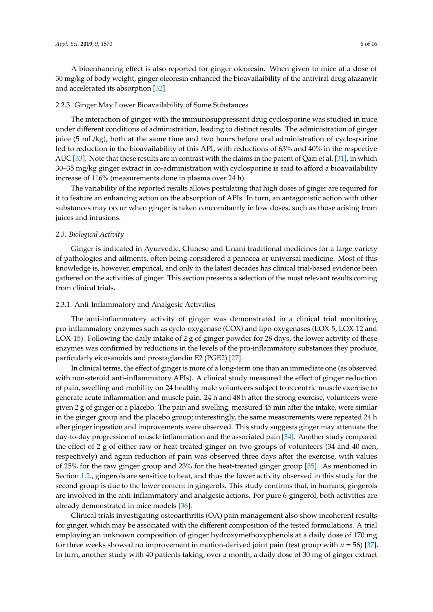A bioenhancing effect is also reported for ginger oleoresin. When given to mice at a dose of 30 mg/kg of body weight, ginger oleoresin enhanced the bioavailaibility of the antiviral drug atazanvir and accelerated its absorption [\[32\]](#page-12-1).

#### <span id="page-5-0"></span>2.2.3. Ginger May Lower Bioavailability of Some Substances

The interaction of ginger with the immunosuppressant drug cyclosporine was studied in mice under different conditions of administration, leading to distinct results. The administration of ginger juice (5 mL/kg), both at the same time and two hours before oral administration of cyclosporine led to reduction in the bioavailability of this API, with reductions of 63% and 40% in the respective AUC [\[33\]](#page-12-2). Note that these results are in contrast with the claims in the patent of Qazi et al. [\[31\]](#page-12-0), in which 30–35 mg/kg ginger extract in co-administration with cyclosporine is said to afford a bioavailability increase of 116% (measurements done in plasma over 24 h).

The variability of the reported results allows postulating that high doses of ginger are required for it to feature an enhancing action on the absorption of APIs. In turn, an antagonistic action with other substances may occur when ginger is taken concomitantly in low doses, such as those arising from juices and infusions.

### *2.3. Biological Activity*

Ginger is indicated in Ayurvedic, Chinese and Unani traditional medicines for a large variety of pathologies and ailments, often being considered a panacea or universal medicine. Most of this knowledge is, however, empirical, and only in the latest decades has clinical trial-based evidence been gathered on the activities of ginger. This section presents a selection of the most relevant results coming from clinical trials.

#### 2.3.1. Anti-Inflammatory and Analgesic Activities

The anti-inflammatory activity of ginger was demonstrated in a clinical trial monitoring pro-inflammatory enzymes such as cyclo-oxygenase (COX) and lipo-oxygenases (LOX-5, LOX-12 and LOX-15). Following the daily intake of 2 g of ginger powder for 28 days, the lower activity of these enzymes was confirmed by reductions in the levels of the pro-inflammatory substances they produce, particularly eicosanoids and prostaglandin E2 (PGE2) [\[27\]](#page-11-17).

In clinical terms, the effect of ginger is more of a long-term one than an immediate one (as observed with non-steroid anti-inflammatory APIs). A clinical study measured the effect of ginger reduction of pain, swelling and mobility on 24 healthy male volunteers subject to eccentric muscle exercise to generate acute inflammation and muscle pain. 24 h and 48 h after the strong exercise, volunteers were given 2 g of ginger or a placebo. The pain and swelling, measured 45 min after the intake, were similar in the ginger group and the placebo group; interestingly, the same measurements were repeated 24 h after ginger ingestion and improvements were observed. This study suggests ginger may attenuate the day-to-day progression of muscle inflammation and the associated pain [\[34\]](#page-12-3). Another study compared the effect of 2 g of either raw or heat-treated ginger on two groups of volunteers (34 and 40 men, respectively) and again reduction of pain was observed three days after the exercise, with values of 25% for the raw ginger group and 23% for the heat-treated ginger group [\[35\]](#page-12-4). As mentioned in Section [1.2.](#page-1-1), gingerols are sensitive to heat, and thus the lower activity observed in this study for the second group is due to the lower content in gingerols. This study confirms that, in humans, gingerols are involved in the anti-inflammatory and analgesic actions. For pure 6-gingerol, both activities are already demonstrated in mice models [\[36\]](#page-12-5).

Clinical trials investigating osteoarthritis (OA) pain management also show incoherent results for ginger, which may be associated with the different composition of the tested formulations. A trial employing an unknown composition of ginger hydroxymethoxyphenols at a daily dose of 170 mg for three weeks showed no improvement in motion-derived joint pain (test group with *n* = 56) [\[37\]](#page-12-6). In turn, another study with 40 patients taking, over a month, a daily dose of 30 mg of ginger extract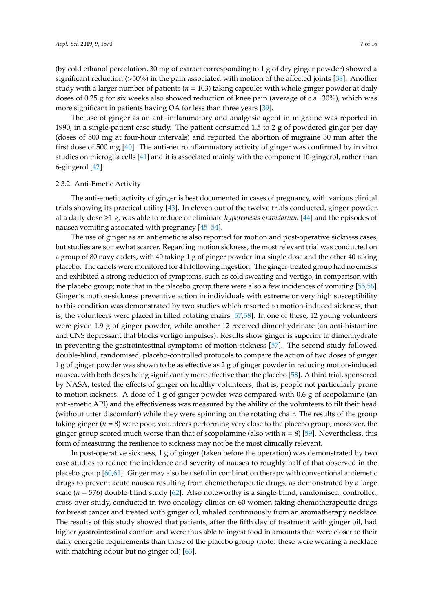(by cold ethanol percolation, 30 mg of extract corresponding to 1 g of dry ginger powder) showed a significant reduction (>50%) in the pain associated with motion of the affected joints [\[38\]](#page-12-7). Another study with a larger number of patients (*n* = 103) taking capsules with whole ginger powder at daily doses of 0.25 g for six weeks also showed reduction of knee pain (average of c.a. 30%), which was more significant in patients having OA for less than three years [\[39\]](#page-12-8).

The use of ginger as an anti-inflammatory and analgesic agent in migraine was reported in 1990, in a single-patient case study. The patient consumed 1.5 to 2 g of powdered ginger per day (doses of 500 mg at four-hour intervals) and reported the abortion of migraine 30 min after the first dose of 500 mg [\[40\]](#page-12-9). The anti-neuroinflammatory activity of ginger was confirmed by in vitro studies on microglia cells [\[41\]](#page-12-10) and it is associated mainly with the component 10-gingerol, rather than 6-gingerol [\[42\]](#page-12-11).

#### 2.3.2. Anti-Emetic Activity

The anti-emetic activity of ginger is best documented in cases of pregnancy, with various clinical trials showing its practical utility [\[43\]](#page-12-12). In eleven out of the twelve trials conducted, ginger powder, at a daily dose ≥1 g, was able to reduce or eliminate *hyperemesis gravidarium* [\[44\]](#page-12-13) and the episodes of nausea vomiting associated with pregnancy [\[45](#page-12-14)[–54\]](#page-12-15).

The use of ginger as an antiemetic is also reported for motion and post-operative sickness cases, but studies are somewhat scarcer. Regarding motion sickness, the most relevant trial was conducted on a group of 80 navy cadets, with 40 taking 1 g of ginger powder in a single dose and the other 40 taking placebo. The cadets were monitored for 4 h following ingestion. The ginger-treated group had no emesis and exhibited a strong reduction of symptoms, such as cold sweating and vertigo, in comparison with the placebo group; note that in the placebo group there were also a few incidences of vomiting [\[55](#page-13-0)[,56\]](#page-13-1). Ginger's motion-sickness preventive action in individuals with extreme or very high susceptibility to this condition was demonstrated by two studies which resorted to motion-induced sickness, that is, the volunteers were placed in tilted rotating chairs [\[57,](#page-13-2)[58\]](#page-13-3). In one of these, 12 young volunteers were given 1.9 g of ginger powder, while another 12 received dimenhydrinate (an anti-histamine and CNS depressant that blocks vertigo impulses). Results show ginger is superior to dimenhydrate in preventing the gastrointestinal symptoms of motion sickness [\[57\]](#page-13-2). The second study followed double-blind, randomised, placebo-controlled protocols to compare the action of two doses of ginger. 1 g of ginger powder was shown to be as effective as 2 g of ginger powder in reducing motion-induced nausea, with both doses being significantly more effective than the placebo [\[58\]](#page-13-3). A third trial, sponsored by NASA, tested the effects of ginger on healthy volunteers, that is, people not particularly prone to motion sickness. A dose of 1 g of ginger powder was compared with 0.6 g of scopolamine (an anti-emetic API) and the effectiveness was measured by the ability of the volunteers to tilt their head (without utter discomfort) while they were spinning on the rotating chair. The results of the group taking ginger (*n* = 8) were poor, volunteers performing very close to the placebo group; moreover, the ginger group scored much worse than that of scopolamine (also with  $n = 8$ ) [\[59\]](#page-13-4). Nevertheless, this form of measuring the resilience to sickness may not be the most clinically relevant.

In post-operative sickness, 1 g of ginger (taken before the operation) was demonstrated by two case studies to reduce the incidence and severity of nausea to roughly half of that observed in the placebo group [\[60,](#page-13-5)[61\]](#page-13-6). Ginger may also be useful in combination therapy with conventional antiemetic drugs to prevent acute nausea resulting from chemotherapeutic drugs, as demonstrated by a large scale (*n* = 576) double-blind study [\[62\]](#page-13-7). Also noteworthy is a single-blind, randomised, controlled, cross-over study, conducted in two oncology clinics on 60 women taking chemotherapeutic drugs for breast cancer and treated with ginger oil, inhaled continuously from an aromatherapy necklace. The results of this study showed that patients, after the fifth day of treatment with ginger oil, had higher gastrointestinal comfort and were thus able to ingest food in amounts that were closer to their daily energetic requirements than those of the placebo group (note: these were wearing a necklace with matching odour but no ginger oil) [\[63\]](#page-13-8).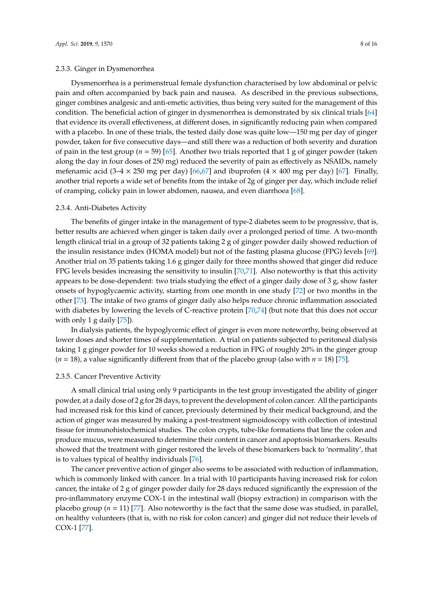#### 2.3.3. Ginger in Dysmenorrhea

Dysmenorrhea is a perimenstrual female dysfunction characterised by low abdominal or pelvic pain and often accompanied by back pain and nausea. As described in the previous subsections, ginger combines analgesic and anti-emetic activities, thus being very suited for the management of this condition. The beneficial action of ginger in dysmenorrhea is demonstrated by six clinical trials [\[64\]](#page-13-9) that evidence its overall effectiveness, at different doses, in significantly reducing pain when compared with a placebo. In one of these trials, the tested daily dose was quite low—150 mg per day of ginger powder, taken for five consecutive days—and still there was a reduction of both severity and duration of pain in the test group (*n* = 59) [\[65\]](#page-13-10). Another two trials reported that 1 g of ginger powder (taken along the day in four doses of 250 mg) reduced the severity of pain as effectively as NSAIDs, namely mefenamic acid (3–4  $\times$  250 mg per day) [\[66](#page-13-11)[,67\]](#page-13-12) and ibuprofen (4  $\times$  400 mg per day) [\[67\]](#page-13-12). Finally, another trial reports a wide set of benefits from the intake of 2g of ginger per day, which include relief of cramping, colicky pain in lower abdomen, nausea, and even diarrhoea [\[68\]](#page-13-13).

#### 2.3.4. Anti-Diabetes Activity

The benefits of ginger intake in the management of type-2 diabetes seem to be progressive, that is, better results are achieved when ginger is taken daily over a prolonged period of time. A two-month length clinical trial in a group of 32 patients taking 2 g of ginger powder daily showed reduction of the insulin resistance index (HOMA model) but not of the fasting plasma glucose (FPG) levels [\[69\]](#page-13-14). Another trial on 35 patients taking 1.6 g ginger daily for three months showed that ginger did reduce FPG levels besides increasing the sensitivity to insulin [\[70,](#page-13-15)[71\]](#page-13-16). Also noteworthy is that this activity appears to be dose-dependent: two trials studying the effect of a ginger daily dose of 3 g, show faster onsets of hypoglycaemic activity, starting from one month in one study [\[72\]](#page-13-17) or two months in the other [\[73\]](#page-13-18). The intake of two grams of ginger daily also helps reduce chronic inflammation associated with diabetes by lowering the levels of C-reactive protein [\[70,](#page-13-15)[74\]](#page-13-19) (but note that this does not occur with only 1 g daily [\[75\]](#page-13-20)).

In dialysis patients, the hypoglycemic effect of ginger is even more noteworthy, being observed at lower doses and shorter times of supplementation. A trial on patients subjected to peritoneal dialysis taking 1 g ginger powder for 10 weeks showed a reduction in FPG of roughly 20% in the ginger group  $(n = 18)$ , a value significantly different from that of the placebo group (also with  $n = 18$ ) [\[75\]](#page-13-20).

#### 2.3.5. Cancer Preventive Activity

A small clinical trial using only 9 participants in the test group investigated the ability of ginger powder, at a daily dose of 2 g for 28 days, to prevent the development of colon cancer. All the participants had increased risk for this kind of cancer, previously determined by their medical background, and the action of ginger was measured by making a post-treatment sigmoidoscopy with collection of intestinal tissue for immunohistochemical studies. The colon crypts, tube-like formations that line the colon and produce mucus, were measured to determine their content in cancer and apoptosis biomarkers. Results showed that the treatment with ginger restored the levels of these biomarkers back to 'normality', that is to values typical of healthy individuals [\[76\]](#page-14-0).

The cancer preventive action of ginger also seems to be associated with reduction of inflammation, which is commonly linked with cancer. In a trial with 10 participants having increased risk for colon cancer, the intake of 2 g of ginger powder daily for 28 days reduced significantly the expression of the pro-inflammatory enzyme COX-1 in the intestinal wall (biopsy extraction) in comparison with the placebo group ( $n = 11$ ) [\[77\]](#page-14-1). Also noteworthy is the fact that the same dose was studied, in parallel, on healthy volunteers (that is, with no risk for colon cancer) and ginger did not reduce their levels of COX-1 [\[77\]](#page-14-1).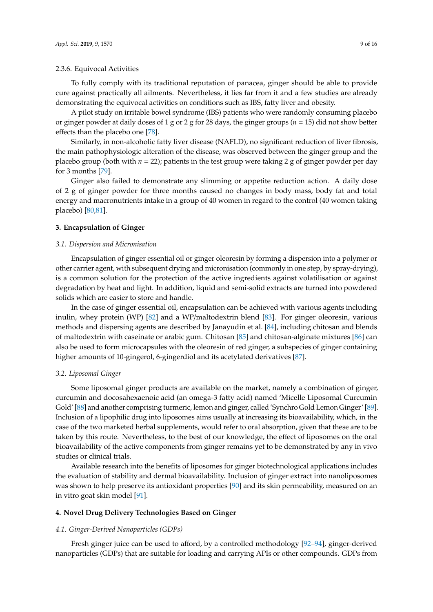#### 2.3.6. Equivocal Activities

To fully comply with its traditional reputation of panacea, ginger should be able to provide cure against practically all ailments. Nevertheless, it lies far from it and a few studies are already demonstrating the equivocal activities on conditions such as IBS, fatty liver and obesity.

A pilot study on irritable bowel syndrome (IBS) patients who were randomly consuming placebo or ginger powder at daily doses of 1 g or 2 g for 28 days, the ginger groups (*n* = 15) did not show better effects than the placebo one [\[78\]](#page-14-2).

Similarly, in non-alcoholic fatty liver disease (NAFLD), no significant reduction of liver fibrosis, the main pathophysiologic alteration of the disease, was observed between the ginger group and the placebo group (both with *n* = 22); patients in the test group were taking 2 g of ginger powder per day for 3 months [\[79\]](#page-14-3).

Ginger also failed to demonstrate any slimming or appetite reduction action. A daily dose of 2 g of ginger powder for three months caused no changes in body mass, body fat and total energy and macronutrients intake in a group of 40 women in regard to the control (40 women taking placebo) [\[80](#page-14-4)[,81\]](#page-14-5).

#### **3. Encapsulation of Ginger**

# *3.1. Dispersion and Micronisation*

Encapsulation of ginger essential oil or ginger oleoresin by forming a dispersion into a polymer or other carrier agent, with subsequent drying and micronisation (commonly in one step, by spray-drying), is a common solution for the protection of the active ingredients against volatilisation or against degradation by heat and light. In addition, liquid and semi-solid extracts are turned into powdered solids which are easier to store and handle.

In the case of ginger essential oil, encapsulation can be achieved with various agents including inulin, whey protein (WP) [\[82\]](#page-14-6) and a WP/maltodextrin blend [\[83\]](#page-14-7). For ginger oleoresin, various methods and dispersing agents are described by Janayudin et al. [\[84\]](#page-14-8), including chitosan and blends of maltodextrin with caseinate or arabic gum. Chitosan [\[85\]](#page-14-9) and chitosan-alginate mixtures [\[86\]](#page-14-10) can also be used to form microcapsules with the oleoresin of red ginger, a subspecies of ginger containing higher amounts of 10-gingerol, 6-gingerdiol and its acetylated derivatives [\[87\]](#page-14-11).

#### *3.2. Liposomal Ginger*

Some liposomal ginger products are available on the market, namely a combination of ginger, curcumin and docosahexaenoic acid (an omega-3 fatty acid) named 'Micelle Liposomal Curcumin Gold' [\[88\]](#page-14-12) and another comprising turmeric, lemon and ginger, called 'Synchro Gold Lemon Ginger' [\[89\]](#page-14-13). Inclusion of a lipophilic drug into liposomes aims usually at increasing its bioavailability, which, in the case of the two marketed herbal supplements, would refer to oral absorption, given that these are to be taken by this route. Nevertheless, to the best of our knowledge, the effect of liposomes on the oral bioavailability of the active components from ginger remains yet to be demonstrated by any in vivo studies or clinical trials.

Available research into the benefits of liposomes for ginger biotechnological applications includes the evaluation of stability and dermal bioavailability. Inclusion of ginger extract into nanoliposomes was shown to help preserve its antioxidant properties [\[90\]](#page-14-14) and its skin permeability, measured on an in vitro goat skin model [\[91\]](#page-14-15).

#### **4. Novel Drug Delivery Technologies Based on Ginger**

#### *4.1. Ginger-Derived Nanoparticles (GDPs)*

Fresh ginger juice can be used to afford, by a controlled methodology [\[92–](#page-14-16)[94\]](#page-14-17), ginger-derived nanoparticles (GDPs) that are suitable for loading and carrying APIs or other compounds. GDPs from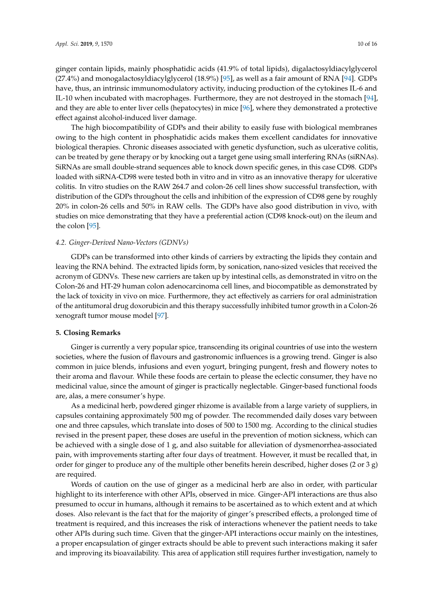ginger contain lipids, mainly phosphatidic acids (41.9% of total lipids), digalactosyldiacylglycerol (27.4%) and monogalactosyldiacylglycerol (18.9%) [\[95\]](#page-14-18), as well as a fair amount of RNA [\[94\]](#page-14-17). GDPs have, thus, an intrinsic immunomodulatory activity, inducing production of the cytokines IL-6 and IL-10 when incubated with macrophages. Furthermore, they are not destroyed in the stomach [\[94\]](#page-14-17), and they are able to enter liver cells (hepatocytes) in mice [\[96\]](#page-15-0), where they demonstrated a protective effect against alcohol-induced liver damage.

The high biocompatibility of GDPs and their ability to easily fuse with biological membranes owing to the high content in phosphatidic acids makes them excellent candidates for innovative biological therapies. Chronic diseases associated with genetic dysfunction, such as ulcerative colitis, can be treated by gene therapy or by knocking out a target gene using small interfering RNAs (siRNAs). SiRNAs are small double-strand sequences able to knock down specific genes, in this case CD98. GDPs loaded with siRNA-CD98 were tested both in vitro and in vitro as an innovative therapy for ulcerative colitis. In vitro studies on the RAW 264.7 and colon-26 cell lines show successful transfection, with distribution of the GDPs throughout the cells and inhibition of the expression of CD98 gene by roughly 20% in colon-26 cells and 50% in RAW cells. The GDPs have also good distribution in vivo, with studies on mice demonstrating that they have a preferential action (CD98 knock-out) on the ileum and the colon [\[95\]](#page-14-18).

# *4.2. Ginger-Derived Nano-Vectors (GDNVs)*

GDPs can be transformed into other kinds of carriers by extracting the lipids they contain and leaving the RNA behind. The extracted lipids form, by sonication, nano-sized vesicles that received the acronym of GDNVs. These new carriers are taken up by intestinal cells, as demonstrated in vitro on the Colon-26 and HT-29 human colon adenocarcinoma cell lines, and biocompatible as demonstrated by the lack of toxicity in vivo on mice. Furthermore, they act effectively as carriers for oral administration of the antitumoral drug doxorubicin and this therapy successfully inhibited tumor growth in a Colon-26 xenograft tumor mouse model [\[97\]](#page-15-1).

# **5. Closing Remarks**

Ginger is currently a very popular spice, transcending its original countries of use into the western societies, where the fusion of flavours and gastronomic influences is a growing trend. Ginger is also common in juice blends, infusions and even yogurt, bringing pungent, fresh and flowery notes to their aroma and flavour. While these foods are certain to please the eclectic consumer, they have no medicinal value, since the amount of ginger is practically neglectable. Ginger-based functional foods are, alas, a mere consumer's hype.

As a medicinal herb, powdered ginger rhizome is available from a large variety of suppliers, in capsules containing approximately 500 mg of powder. The recommended daily doses vary between one and three capsules, which translate into doses of 500 to 1500 mg. According to the clinical studies revised in the present paper, these doses are useful in the prevention of motion sickness, which can be achieved with a single dose of 1 g, and also suitable for alleviation of dysmenorrhea-associated pain, with improvements starting after four days of treatment. However, it must be recalled that, in order for ginger to produce any of the multiple other benefits herein described, higher doses (2 or 3 g) are required.

Words of caution on the use of ginger as a medicinal herb are also in order, with particular highlight to its interference with other APIs, observed in mice. Ginger-API interactions are thus also presumed to occur in humans, although it remains to be ascertained as to which extent and at which doses. Also relevant is the fact that for the majority of ginger's prescribed effects, a prolonged time of treatment is required, and this increases the risk of interactions whenever the patient needs to take other APIs during such time. Given that the ginger-API interactions occur mainly on the intestines, a proper encapsulation of ginger extracts should be able to prevent such interactions making it safer and improving its bioavailability. This area of application still requires further investigation, namely to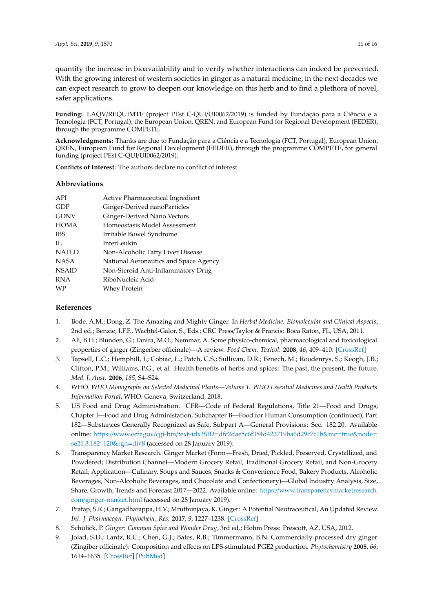quantify the increase in bioavailability and to verify whether interactions can indeed be prevented. With the growing interest of western societies in ginger as a natural medicine, in the next decades we can expect research to grow to deepen our knowledge on this herb and to find a plethora of novel, safer applications.

**Funding:** LAQV/REQUIMTE (project PEst C-QUI/UI0062/2019) is funded by Fundação para a Ciência e a Tecnologia (FCT, Portugal), the European Union, QREN, and European Fund for Regional Development (FEDER), through the programme COMPETE.

**Acknowledgments:** Thanks are due to Fundação para a Ciência e a Tecnologia (FCT, Portugal), European Union, QREN, European Fund for Regional Development (FEDER), through the programme COMPETE, for general funding (project PEst C-QUI/UI0062/2019).

**Conflicts of Interest:** The authors declare no conflict of interest.

# **Abbreviations**

| API          | Active Pharmaceutical Ingredient      |
|--------------|---------------------------------------|
| GDP          | Ginger-Derived nanoParticles          |
| <b>GDNV</b>  | Ginger-Derived Nano Vectors           |
| <b>HOMA</b>  | Homeostasis Model Assessment          |
| <b>IBS</b>   | Irritable Bowel Syndrome              |
| $\Pi$ .      | InterLeukin                           |
| <b>NAFLD</b> | Non-Alcoholic Fatty Liver Disease     |
| <b>NASA</b>  | National Aeronautics and Space Agency |
| <b>NSAID</b> | Non-Steroid Anti-Inflammatory Drug    |
| <b>RNA</b>   | RiboNucleic Acid                      |
| <b>WP</b>    | Whey Protein                          |
|              |                                       |

# **References**

- <span id="page-10-0"></span>1. Bode, A.M.; Dong, Z. The Amazing and Mighty Ginger. In *Herbal Medicine: Biomolecular and Clinical Aspects*, 2nd ed.; Benzie, I.F.F., Wachtel-Galor, S., Eds.; CRC Press/Taylor & Francis: Boca Raton, FL, USA, 2011.
- <span id="page-10-1"></span>2. Ali, B.H.; Blunden, G.; Tanira, M.O.; Nemmar, A. Some physico-chemical, pharmacological and toxicological properties of ginger (Zingerber officinale)—A review. *Food Chem. Toxicol.* **2008**, *46*, 409–410. [\[CrossRef\]](http://dx.doi.org/10.1016/j.fct.2007.09.085)
- <span id="page-10-2"></span>3. Tapsell, L.C.; Hemphill, I.; Cobiac, L.; Patch, C.S.; Sullivan, D.R.; Fenech, M.; Roodenrys, S.; Keogh, J.B.; Clifton, P.M.; Williams, P.G.; et al. Health benefits of herbs and spices: The past, the present, the future. *Med. J. Aust.* **2006**, *185*, S4–S24.
- <span id="page-10-3"></span>4. WHO. *WHO Monographs on Selected Medicinal Plants—Volume 1. WHO Essential Medicines and Health Products Information Portal*; WHO: Geneva, Switzerland, 2018.
- <span id="page-10-4"></span>5. US Food and Drug Administration. CFR—Code of Federal Regulations, Title 21—Food and Drugs, Chapter I—Food and Drug Administation, Subchapter B—Food for Human Consumption (continued), Part 182—Substances Generally Recognized as Safe, Subpart A—General Provisions: Sec. 182.20. Available online: https://www.ecfr.gov/cgi-bin/text-idx?SID=[dfc2dae5c6f384d423719ba6d29c7c1b&mc](https://www.ecfr.gov/cgi-bin/text-idx?SID=dfc2dae5c6f384d423719ba6d29c7c1b&mc=true&node=se21.3.182_120&rgn=div8)=true&node= [se21.3.182\\_120&rgn](https://www.ecfr.gov/cgi-bin/text-idx?SID=dfc2dae5c6f384d423719ba6d29c7c1b&mc=true&node=se21.3.182_120&rgn=div8)=div8 (accessed on 28 January 2019).
- <span id="page-10-5"></span>6. Transparency Market Research. Ginger Market (Form—Fresh, Dried, Pickled, Preserved, Crystallized, and Powdered; Distribution Channel—Modern Grocery Retail, Traditional Grocery Retail, and Non-Grocery Retail; Application—Culinary, Soups and Sauces, Snacks & Convenience Food, Bakery Products, Alcoholic Beverages, Non-Alcoholic Beverages, and Chocolate and Confectionery)—Global Industry Analysis, Size, Share, Growth, Trends and Forecast 2017—2022. Available online: https://[www.transparencymarketresearch.](https://www.transparencymarketresearch.com/ginger-market.html) com/[ginger-market.html](https://www.transparencymarketresearch.com/ginger-market.html) (accessed on 28 January 2019).
- <span id="page-10-6"></span>7. Pratap, S.R.; Gangadharappa, H.V.; Mruthunjaya, K. Ginger: A Potential Neutraceutical, An Updated Review. *Int. J. Pharmacogn. Phytochem. Res.* **2017**, *9*, 1227–1238. [\[CrossRef\]](http://dx.doi.org/10.25258/phyto.v9i09.10311)
- <span id="page-10-7"></span>8. Schulick, P. *Ginger: Common Spice and Wonder Drug*, 3rd ed.; Hohm Press: Prescott, AZ, USA, 2012.
- <span id="page-10-8"></span>9. Jolad, S.D.; Lantz, R.C.; Chen, G.J.; Bates, R.B.; Timmermann, B.N. Commercially processed dry ginger (Zingiber officinale): Composition and effects on LPS-stimulated PGE2 production. *Phytochemistry* **2005**, *66*, 1614–1635. [\[CrossRef\]](http://dx.doi.org/10.1016/j.phytochem.2005.05.007) [\[PubMed\]](http://www.ncbi.nlm.nih.gov/pubmed/15996695)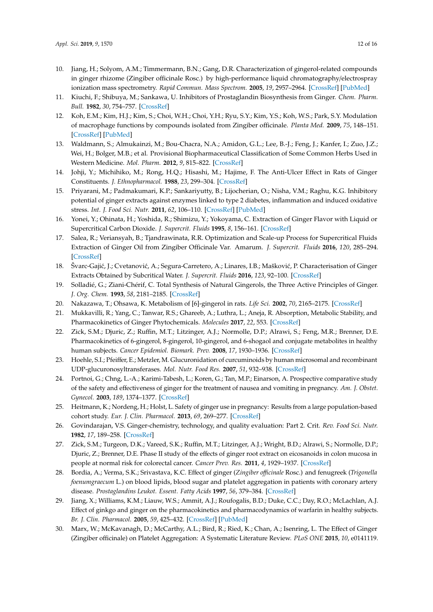- <span id="page-11-0"></span>10. Jiang, H.; Solyom, A.M.; Timmermann, B.N.; Gang, D.R. Characterization of gingerol-related compounds in ginger rhizome (Zingiber officinale Rosc.) by high-performance liquid chromatography/electrospray ionization mass spectrometry. *Rapid Commun. Mass Spectrom.* **2005**, *19*, 2957–2964. [\[CrossRef\]](http://dx.doi.org/10.1002/rcm.2140) [\[PubMed\]](http://www.ncbi.nlm.nih.gov/pubmed/16189817)
- <span id="page-11-1"></span>11. Kiuchi, F.; Shibuya, M.; Sankawa, U. Inhibitors of Prostaglandin Biosynthesis from Ginger. *Chem. Pharm. Bull.* **1982**, *30*, 754–757. [\[CrossRef\]](http://dx.doi.org/10.1248/cpb.30.754)
- <span id="page-11-2"></span>12. Koh, E.M.; Kim, H.J.; Kim, S.; Choi, W.H.; Choi, Y.H.; Ryu, S.Y.; Kim, Y.S.; Koh, W.S.; Park, S.Y. Modulation of macrophage functions by compounds isolated from Zingiber officinale. *Planta Med.* **2009**, *75*, 148–151. [\[CrossRef\]](http://dx.doi.org/10.1055/s-0028-1088347) [\[PubMed\]](http://www.ncbi.nlm.nih.gov/pubmed/19031369)
- <span id="page-11-3"></span>13. Waldmann, S.; Almukainzi, M.; Bou-Chacra, N.A.; Amidon, G.L.; Lee, B.-J.; Feng, J.; Kanfer, I.; Zuo, J.Z.; Wei, H.; Bolger, M.B.; et al. Provisional Biopharmaceutical Classification of Some Common Herbs Used in Western Medicine. *Mol. Pharm.* **2012**, *9*, 815–822. [\[CrossRef\]](http://dx.doi.org/10.1021/mp200162b)
- <span id="page-11-4"></span>14. Johji, Y.; Michihiko, M.; Rong, H.Q.; Hisashi, M.; Hajime, F. The Anti-Ulcer Effect in Rats of Ginger Constituents. *J. Ethnopharmacol.* **1988**, *23*, 299–304. [\[CrossRef\]](http://dx.doi.org/10.1016/0378-8741(88)90009-8)
- <span id="page-11-5"></span>15. Priyarani, M.; Padmakumari, K.P.; Sankariyutty, B.; Lijocherian, O.; Nisha, V.M.; Raghu, K.G. Inhibitory potential of ginger extracts against enzymes linked to type 2 diabetes, inflammation and induced oxidative stress. *Int. J. Food Sci. Nutr.* **2011**, *62*, 106–110. [\[CrossRef\]](http://dx.doi.org/10.3109/09637486.2010.515565) [\[PubMed\]](http://www.ncbi.nlm.nih.gov/pubmed/20874376)
- <span id="page-11-6"></span>16. Yonei, Y.; Ohinata, H.; Yoshida, R.; Shimizu, Y.; Yokoyama, C. Extraction of Ginger Flavor with Liquid or Supercritical Carbon Dioxide. *J. Supercrit. Fluids* **1995**, *8*, 156–161. [\[CrossRef\]](http://dx.doi.org/10.1016/0896-8446(95)90028-4)
- <span id="page-11-7"></span>17. Salea, R.; Veriansyah, B.; Tjandrawinata, R.R. Optimization and Scale-up Process for Supercritical Fluids Extraction of Ginger Oil from Zingiber Officinale Var. Amarum. *J. Supercrit. Fluids* **2016**, *120*, 285–294. [\[CrossRef\]](http://dx.doi.org/10.1016/j.supflu.2016.05.035)
- <span id="page-11-8"></span>18. Švarc-Gajić, J.; Cvetanović, A.; Segura-Carretero, A.; Linares, I.B.; Mašković, P. Characterisation of Ginger Extracts Obtained by Subcritical Water. *J. Supercrit. Fluids* **2016**, *123*, 92–100. [\[CrossRef\]](http://dx.doi.org/10.1016/j.supflu.2016.12.019)
- <span id="page-11-9"></span>19. Solladié, G.; Ziani-Chérif, C. Total Synthesis of Natural Gingerols, the Three Active Principles of Ginger. *J. Org. Chem.* **1993**, *58*, 2181–2185. [\[CrossRef\]](http://dx.doi.org/10.1021/jo00060a038)
- <span id="page-11-10"></span>20. Nakazawa, T.; Ohsawa, K. Metabolism of [6]-gingerol in rats. *Life Sci.* **2002**, *70*, 2165–2175. [\[CrossRef\]](http://dx.doi.org/10.1016/S0024-3205(01)01551-X)
- <span id="page-11-11"></span>21. Mukkavilli, R.; Yang, C.; Tanwar, R.S.; Ghareeb, A.; Luthra, L.; Aneja, R. Absorption, Metabolic Stability, and Pharmacokinetics of Ginger Phytochemicals. *Molecules* **2017**, *22*, 553. [\[CrossRef\]](http://dx.doi.org/10.3390/molecules22040553)
- <span id="page-11-12"></span>22. Zick, S.M.; Djuric, Z.; Ruffin, M.T.; Litzinger, A.J.; Normolle, D.P.; Alrawi, S.; Feng, M.R.; Brenner, D.E. Pharmacokinetics of 6-gingerol, 8-gingerol, 10-gingerol, and 6-shogaol and conjugate metabolites in healthy human subjects. *Cancer Epidemiol. Biomark. Prev.* **2008**, *17*, 1930–1936. [\[CrossRef\]](http://dx.doi.org/10.1158/1055-9965.EPI-07-2934)
- <span id="page-11-13"></span>23. Hoehle, S.I.; Pfeiffer, E.; Metzler, M. Glucuronidation of curcuminoids by human microsomal and recombinant UDP-glucuronosyltransferases. *Mol. Nutr. Food Res.* **2007**, *51*, 932–938. [\[CrossRef\]](http://dx.doi.org/10.1002/mnfr.200600283)
- <span id="page-11-14"></span>24. Portnoi, G.; Chng, L.-A.; Karimi-Tabesh, L.; Koren, G.; Tan, M.P.; Einarson, A. Prospective comparative study of the safety and effectiveness of ginger for the treatment of nausea and vomiting in pregnancy. *Am. J. Obstet. Gynecol.* **2003**, *189*, 1374–1377. [\[CrossRef\]](http://dx.doi.org/10.1067/S0002-9378(03)00649-5)
- <span id="page-11-15"></span>25. Heitmann, K.; Nordeng, H.; Holst, L. Safety of ginger use in pregnancy: Results from a large population-based cohort study. *Eur. J. Clin. Pharmacol.* **2013**, *69*, 269–277. [\[CrossRef\]](http://dx.doi.org/10.1007/s00228-012-1331-5)
- <span id="page-11-16"></span>26. Govindarajan, V.S. Ginger-chemistry, technology, and quality evaluation: Part 2. Crit. *Rev. Food Sci. Nutr.* **1982**, *17*, 189–258. [\[CrossRef\]](http://dx.doi.org/10.1080/10408398209527348)
- <span id="page-11-17"></span>27. Zick, S.M.; Turgeon, D.K.; Vareed, S.K.; Ruffin, M.T.; Litzinger, A.J.; Wright, B.D.; Alrawi, S.; Normolle, D.P.; Djuric, Z.; Brenner, D.E. Phase II study of the effects of ginger root extract on eicosanoids in colon mucosa in people at normal risk for colorectal cancer. *Cancer Prev. Res.* **2011**, *4*, 1929–1937. [\[CrossRef\]](http://dx.doi.org/10.1158/1940-6207.CAPR-11-0224)
- <span id="page-11-18"></span>28. Bordia, A.; Verma, S.K.; Srivastava, K.C. Effect of ginger (*Zingiber o*ffi*cinale* Rosc.) and fenugreek (*Trigonella foenumgraecum* L.) on blood lipids, blood sugar and platelet aggregation in patients with coronary artery disease. *Prostaglandins Leukot. Essent. Fatty Acids* **1997**, *56*, 379–384. [\[CrossRef\]](http://dx.doi.org/10.1016/S0952-3278(97)90587-1)
- 29. Jiang, X.; Williams, K.M.; Liauw, W.S.; Ammit, A.J.; Roufogalis, B.D.; Duke, C.C.; Day, R.O.; McLachlan, A.J. Effect of ginkgo and ginger on the pharmacokinetics and pharmacodynamics of warfarin in healthy subjects. *Br. J. Clin. Pharmacol.* **2005**, *59*, 425–432. [\[CrossRef\]](http://dx.doi.org/10.1111/j.1365-2125.2005.02322.x) [\[PubMed\]](http://www.ncbi.nlm.nih.gov/pubmed/15801937)
- <span id="page-11-19"></span>30. Marx, W.; McKavanagh, D.; McCarthy, A.L.; Bird, R.; Ried, K.; Chan, A.; Isenring, L. The Effect of Ginger (Zingiber officinale) on Platelet Aggregation: A Systematic Literature Review. *PLoS ONE* **2015**, *10*, e0141119.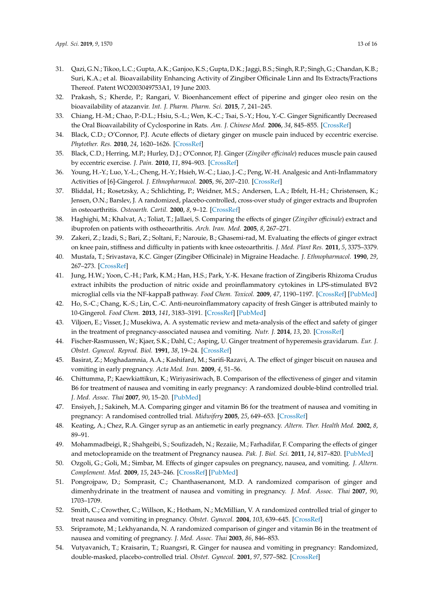- <span id="page-12-0"></span>31. Qazi, G.N.; Tikoo, L.C.; Gupta, A.K.; Ganjoo, K.S.; Gupta, D.K.; Jaggi, B.S.; Singh, R.P.; Singh, G.; Chandan, K.B.; Suri, K.A.; et al. Bioavailability Enhancing Activity of Zingiber Officinale Linn and Its Extracts/Fractions Thereof. Patent WO2003049753A1, 19 June 2003.
- <span id="page-12-1"></span>32. Prakash, S.; Kherde, P.; Rangari, V. Bioenhancement effect of piperine and ginger oleo resin on the bioavailability of atazanvir. *Int. J. Pharm. Pharm. Sci.* **2015**, *7*, 241–245.
- <span id="page-12-2"></span>33. Chiang, H.-M.; Chao, P.-D.L.; Hsiu, S.-L.; Wen, K.-C.; Tsai, S.-Y.; Hou, Y.-C. Ginger Significantly Decreased the Oral Bioavailability of Cyclosporine in Rats. *Am. J. Chinese Med.* **2006**, *34*, 845–855. [\[CrossRef\]](http://dx.doi.org/10.1142/S0192415X06004338)
- <span id="page-12-3"></span>34. Black, C.D.; O'Connor, P.J. Acute effects of dietary ginger on muscle pain induced by eccentric exercise. *Phytother. Res.* **2010**, *24*, 1620–1626. [\[CrossRef\]](http://dx.doi.org/10.1002/ptr.3148)
- <span id="page-12-4"></span>35. Black, C.D.; Herring, M.P.; Hurley, D.J.; O'Connor, P.J. Ginger (*Zingiber o*ffi*cinale*) reduces muscle pain caused by eccentric exercise. *J. Pain.* **2010**, *11*, 894–903. [\[CrossRef\]](http://dx.doi.org/10.1016/j.jpain.2009.12.013)
- <span id="page-12-5"></span>36. Young, H.-Y.; Luo, Y.-L.; Cheng, H.-Y.; Hsieh, W.-C.; Liao, J.-C.; Peng, W.-H. Analgesic and Anti-Inflammatory Activities of [6]-Gingerol. *J. Ethnopharmacol.* **2005**, *96*, 207–210. [\[CrossRef\]](http://dx.doi.org/10.1016/j.jep.2004.09.009)
- <span id="page-12-6"></span>37. Bliddal, H.; Rosetzsky, A.; Schlichting, P.; Weidner, M.S.; Andersen, L.A.; Ibfelt, H.-H.; Christensen, K.; Jensen, O.N.; Barslev, J. A randomized, placebo-controlled, cross-over study of ginger extracts and Ibuprofen in osteoarthritis. *Osteoarth. Cartil.* **2000**, *8*, 9–12. [\[CrossRef\]](http://dx.doi.org/10.1053/joca.1999.0264)
- <span id="page-12-7"></span>38. Haghighi, M.; Khalvat, A.; Toliat, T.; Jallaei, S. Comparing the effects of ginger (*Zingiber o*ffi*cinale*) extract and ibuprofen on patients with ostheoarthritis. *Arch. Iran. Med.* **2005**, *8*, 267–271.
- <span id="page-12-8"></span>39. Zakeri, Z.; Izadi, S.; Bari, Z.; Soltani, F.; Narouie, B.; Ghasemi-rad, M. Evaluating the effects of ginger extract on knee pain, stiffness and difficulty in patients with knee osteoarthritis. *J. Med. Plant Res.* **2011**, *5*, 3375–3379.
- <span id="page-12-9"></span>40. Mustafa, T.; Srivastava, K.C. Ginger (Zingiber Officinale) in Migraine Headache. *J. Ethnopharmacol.* **1990**, *29*, 267–273. [\[CrossRef\]](http://dx.doi.org/10.1016/0378-8741(90)90037-T)
- <span id="page-12-10"></span>41. Jung, H.W.; Yoon, C.-H.; Park, K.M.; Han, H.S.; Park, Y.-K. Hexane fraction of Zingiberis Rhizoma Crudus extract inhibits the production of nitric oxide and proinflammatory cytokines in LPS-stimulated BV2 microglial cells via the NF-kappaB pathway. *Food Chem. Toxicol.* **2009**, *47*, 1190–1197. [\[CrossRef\]](http://dx.doi.org/10.1016/j.fct.2009.02.012) [\[PubMed\]](http://www.ncbi.nlm.nih.gov/pubmed/19233241)
- <span id="page-12-11"></span>42. Ho, S.-C.; Chang, K.-S.; Lin, C.-C. Anti-neuroinflammatory capacity of fresh Ginger is attributed mainly to 10-Gingerol. *Food Chem.* **2013**, *141*, 3183–3191. [\[CrossRef\]](http://dx.doi.org/10.1016/j.foodchem.2013.06.010) [\[PubMed\]](http://www.ncbi.nlm.nih.gov/pubmed/23871076)
- <span id="page-12-12"></span>43. Viljoen, E.; Visser, J.; Musekiwa, A. A systematic review and meta-analysis of the effect and safety of ginger in the treatment of pregnancy-associated nausea and vomiting. *Nutr. J.* **2014**, *13*, 20. [\[CrossRef\]](http://dx.doi.org/10.1186/1475-2891-13-20)
- <span id="page-12-13"></span>44. Fischer-Rasmussen, W.; Kjaer, S.K.; Dahl, C.; Asping, U. Ginger treatment of hyperemesis gravidarum. *Eur. J. Obstet. Gynecol. Reprod. Biol.* **1991**, *38*, 19–24. [\[CrossRef\]](http://dx.doi.org/10.1016/0028-2243(91)90202-V)
- <span id="page-12-14"></span>45. Basirat, Z.; Moghadamnia, A.A.; Kashifard, M.; Sarifi-Razavi, A. The effect of ginger biscuit on nausea and vomiting in early pregnancy. *Acta Med. Iran.* **2009**, *4*, 51–56.
- 46. Chittumma, P.; Kaewkiattikun, K.; Wiriyasiriwach, B. Comparison of the effectiveness of ginger and vitamin B6 for treatment of nausea and vomiting in early pregnancy: A randomized double-blind controlled trial. *J. Med. Assoc. Thai* **2007**, *90*, 15–20. [\[PubMed\]](http://www.ncbi.nlm.nih.gov/pubmed/17621727)
- 47. Ensiyeh, J.; Sakineh, M.A. Comparing ginger and vitamin B6 for the treatment of nausea and vomiting in pregnancy: A randomised controlled trial. *Midwifery* **2005**, *25*, 649–653. [\[CrossRef\]](http://dx.doi.org/10.1016/j.midw.2007.10.013)
- 48. Keating, A.; Chez, R.A. Ginger syrup as an antiemetic in early pregnancy. *Altern. Ther. Health Med.* **2002**, *8*, 89–91.
- 49. Mohammadbeigi, R.; Shahgeibi, S.; Soufizadeh, N.; Rezaiie, M.; Farhadifar, F. Comparing the effects of ginger and metoclopramide on the treatment of Pregnancy nausea. *Pak. J. Biol. Sci.* **2011**, *14*, 817–820. [\[PubMed\]](http://www.ncbi.nlm.nih.gov/pubmed/22545357)
- 50. Ozgoli, G.; Goli, M.; Simbar, M. Effects of ginger capsules on pregnancy, nausea, and vomiting. *J. Altern. Complement. Med.* **2009**, *15*, 243–246. [\[CrossRef\]](http://dx.doi.org/10.1089/acm.2008.0406) [\[PubMed\]](http://www.ncbi.nlm.nih.gov/pubmed/19250006)
- 51. Pongrojpaw, D.; Somprasit, C.; Chanthasenanont, M.D. A randomized comparison of ginger and dimenhydrinate in the treatment of nausea and vomiting in pregnancy. *J. Med. Assoc. Thai* **2007**, *90*, 1703–1709.
- 52. Smith, C.; Crowther, C.; Willson, K.; Hotham, N.; McMillian, V. A randomized controlled trial of ginger to treat nausea and vomiting in pregnancy. *Obstet. Gynecol.* **2004**, *103*, 639–645. [\[CrossRef\]](http://dx.doi.org/10.1097/01.AOG.0000118307.19798.ec)
- 53. Sripramote, M.; Lekhyananda, N. A randomized comparison of ginger and vitamin B6 in the treatment of nausea and vomiting of pregnancy. *J. Med. Assoc. Thai* **2003**, *86*, 846–853.
- <span id="page-12-15"></span>54. Vutyavanich, T.; Kraisarin, T.; Ruangsri, R. Ginger for nausea and vomiting in pregnancy: Randomized, double-masked, placebo-controlled trial. *Obstet. Gynecol.* **2001**, *97*, 577–582. [\[CrossRef\]](http://dx.doi.org/10.1097/00006250-200104000-00017)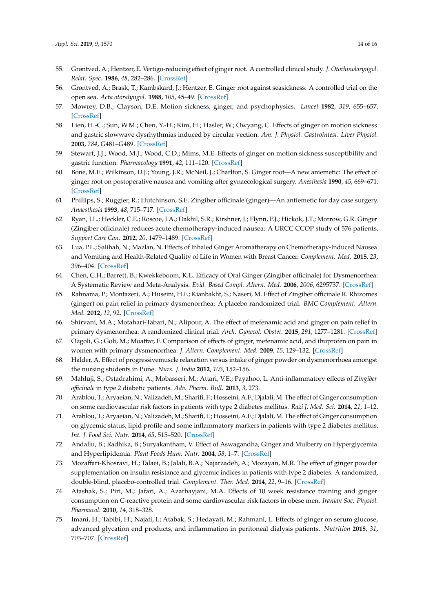- <span id="page-13-0"></span>55. Grøntved, A.; Hentzer, E. Vertigo-reducing effect of ginger root. A controlled clinical study. *J. Otorhinolaryngol. Relat. Spec.* **1986**, *48*, 282–286. [\[CrossRef\]](http://dx.doi.org/10.1159/000275883)
- <span id="page-13-1"></span>56. Grøntved, A.; Brask, T.; Kambskard, J.; Hentzer, E. Ginger root against seasickness: A controlled trial on the open sea. *Acta otoralyngol.* **1988**, *105*, 45–49. [\[CrossRef\]](http://dx.doi.org/10.3109/00016488809119444)
- <span id="page-13-2"></span>57. Mowrey, D.B.; Clayson, D.E. Motion sickness, ginger, and psychophysics. *Lancet* **1982**, *319*, 655–657. [\[CrossRef\]](http://dx.doi.org/10.1016/S0140-6736(82)92205-X)
- <span id="page-13-3"></span>58. Lien, H.-C.; Sun, W.M.; Chen, Y.-H.; Kim, H.; Hasler, W.; Owyang, C. Effects of ginger on motion sickness and gastric slowwave dysrhythmias induced by circular vection. *Am. J. Physiol. Gastrointest. Liver Physiol.* **2003**, *284*, G481–G489. [\[CrossRef\]](http://dx.doi.org/10.1152/ajpgi.00164.2002)
- <span id="page-13-4"></span>59. Stewart, J.J.; Wood, M.J.; Wood, C.D.; Mims, M.E. Effects of ginger on motion sickness susceptibility and gastric function. *Pharmacology* **1991**, *42*, 111–120. [\[CrossRef\]](http://dx.doi.org/10.1159/000138781)
- <span id="page-13-5"></span>60. Bone, M.E.; Wilkinson, D.J.; Young, J.R.; McNeil, J.; Charlton, S. Ginger root—A new aniemetic: The effect of ginger root on postoperative nausea and vomiting after gynaecological surgery. *Anesthesia* **1990**, *45*, 669–671. [\[CrossRef\]](http://dx.doi.org/10.1111/j.1365-2044.1990.tb14395.x)
- <span id="page-13-6"></span>61. Phillips, S.; Ruggier, R.; Hutchinson, S.E. Zingiber officinale (ginger)—An antiemetic for day case surgery. *Anaesthesia* **1993**, *48*, 715–717. [\[CrossRef\]](http://dx.doi.org/10.1111/j.1365-2044.1993.tb07188.x)
- <span id="page-13-7"></span>62. Ryan, J.L.; Heckler, C.E.; Roscoe, J.A.; Dakhil, S.R.; Kirshner, J.; Flynn, P.J.; Hickok, J.T.; Morrow, G.R. Ginger (Zingiber officinale) reduces acute chemotherapy-induced nausea: A URCC CCOP study of 576 patients. *Support Care Can.* **2012**, *20*, 1479–1489. [\[CrossRef\]](http://dx.doi.org/10.1007/s00520-011-1236-3)
- <span id="page-13-8"></span>63. Lua, P.L.; Salihah, N.; Mazlan, N. Effects of Inhaled Ginger Aromatherapy on Chemotherapy-Induced Nausea and Vomiting and Health-Related Quality of Life in Women with Breast Cancer. *Complement. Med.* **2015**, *23*, 396–404. [\[CrossRef\]](http://dx.doi.org/10.1016/j.ctim.2015.03.009)
- <span id="page-13-9"></span>64. Chen, C.H.; Barrett, B.; Kwekkeboom, K.L. Efficacy of Oral Ginger (Zingiber officinale) for Dysmenorrhea: A Systematic Review and Meta-Analysis. *Evid. Based Compl. Altern. Med.* **2006**, *2006*, 6295737. [\[CrossRef\]](http://dx.doi.org/10.1155/2016/6295737)
- <span id="page-13-10"></span>65. Rahnama, P.; Montazeri, A.; Huseini, H.F.; Kianbakht, S.; Naseri, M. Effect of Zingiber officinale R. Rhizomes (ginger) on pain relief in primary dysmenorrhea: A placebo randomized trial. *BMC Complement. Altern. Med.* **2012**, *12*, 92. [\[CrossRef\]](http://dx.doi.org/10.1186/1472-6882-12-92)
- <span id="page-13-11"></span>66. Shirvani, M.A.; Motahari-Tabari, N.; Alipour, A. The effect of mefenamic acid and ginger on pain relief in primary dysmenorrhea: A randomized clinical trial. *Arch. Gynecol. Obstet.* **2015**, *291*, 1277–1281. [\[CrossRef\]](http://dx.doi.org/10.1007/s00404-014-3548-2)
- <span id="page-13-12"></span>67. Ozgoli, G.; Goli, M.; Moattar, F. Comparison of effects of ginger, mefenamic acid, and ibuprofen on pain in women with primary dysmenorrhea. *J. Altern. Complement. Med.* **2009**, *15*, 129–132. [\[CrossRef\]](http://dx.doi.org/10.1089/acm.2008.0311)
- <span id="page-13-13"></span>68. Halder, A. Effect of progressivemuscle relaxation versus intake of ginger powder on dysmenorrhoea amongst the nursing students in Pune. *Nurs. J. India* **2012**, *103*, 152–156.
- <span id="page-13-14"></span>69. Mahluji, S.; Ostadrahimi, A.; Mobasseri, M.; Attari, V.E.; Payahoo, L. Anti-inflammatory effects of *Zingiber o*ffi*cinale* in type 2 diabetic patients. *Adv. Pharm. Bull.* **2013**, *3*, 273.
- <span id="page-13-15"></span>70. Arablou, T.; Aryaeian, N.; Valizadeh, M.; Sharifi, F.; Hosseini, A.F.; Djalali, M. The effect of Ginger consumption on some cardiovascular risk factors in patients with type 2 diabetes mellitus. *Razi J. Med. Sci.* **2014**, *21*, 1–12.
- <span id="page-13-16"></span>71. Arablou, T.; Aryaeian, N.; Valizadeh, M.; Sharifi, F.; Hosseini, A.F.; Djalali, M. The effect of Ginger consumption on glycemic status, lipid profile and some inflammatory markers in patients with type 2 diabetes mellitus. *Int. J. Food Sci. Nutr.* **2014**, *65*, 515–520. [\[CrossRef\]](http://dx.doi.org/10.3109/09637486.2014.880671)
- <span id="page-13-17"></span>72. Andallu, B.; Radhika, B.; Suryakantham, V. Effect of Aswagandha, Ginger and Mulberry on Hyperglycemia and Hyperlipidemia. *Plant Foods Hum. Nutr.* **2004**, *58*, 1–7. [\[CrossRef\]](http://dx.doi.org/10.1023/B:QUAL.0000040352.23559.04)
- <span id="page-13-18"></span>73. Mozaffari-Khosravi, H.; Talaei, B.; Jalali, B.A.; Najarzadeh, A.; Mozayan, M.R. The effect of ginger powder supplementation on insulin resistance and glycemic indices in patients with type 2 diabetes: A randomized, double-blind, placebo-controlled trial. *Complement. Ther. Med.* **2014**, *22*, 9–16. [\[CrossRef\]](http://dx.doi.org/10.1016/j.ctim.2013.12.017)
- <span id="page-13-19"></span>74. Atashak, S.; Piri, M.; Jafari, A.; Azarbayjani, M.A. Effects of 10 week resistance training and ginger consumption on C-reactive protein and some cardiovascular risk factors in obese men. *Iranian Soc. Physiol. Pharmacol.* **2010**, *14*, 318–328.
- <span id="page-13-20"></span>75. Imani, H.; Tabibi, H.; Najafi, I.; Atabak, S.; Hedayati, M.; Rahmani, L. Effects of ginger on serum glucose, advanced glycation end products, and inflammation in peritoneal dialysis patients. *Nutrition* **2015**, *31*, 703–707. [\[CrossRef\]](http://dx.doi.org/10.1016/j.nut.2014.11.020)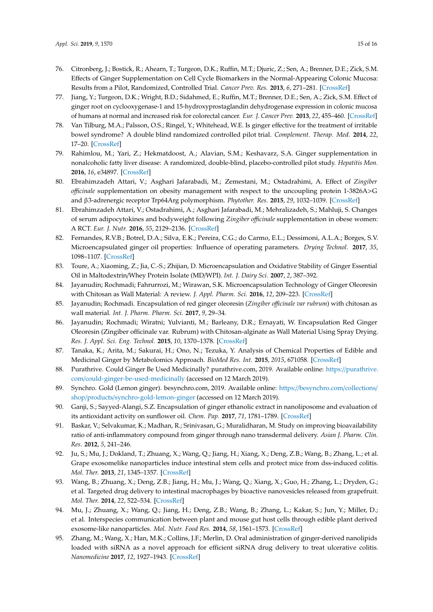- <span id="page-14-0"></span>76. Citronberg, J.; Bostick, R.; Ahearn, T.; Turgeon, D.K.; Ruffin, M.T.; Djuric, Z.; Sen, A.; Brenner, D.E.; Zick, S.M. Effects of Ginger Supplementation on Cell Cycle Biomarkers in the Normal-Appearing Colonic Mucosa: Results from a Pilot, Randomized, Controlled Trial. *Cancer Prev. Res.* **2013**, *6*, 271–281. [\[CrossRef\]](http://dx.doi.org/10.1158/1940-6207.CAPR-12-0327)
- <span id="page-14-1"></span>77. Jiang, Y.; Turgeon, D.K.; Wright, B.D.; Sidahmed, E.; Ruffin, M.T.; Brenner, D.E.; Sen, A.; Zick, S.M. Effect of ginger root on cyclooxygenase-1 and 15-hydroxyprostaglandin dehydrogenase expression in colonic mucosa of humans at normal and increased risk for colorectal cancer. *Eur. J. Cancer Prev.* **2013**, *22*, 455–460. [\[CrossRef\]](http://dx.doi.org/10.1097/CEJ.0b013e32835c829b)
- <span id="page-14-2"></span>78. Van Tilburg, M.A.; Palsson, O.S.; Ringel, Y.; Whitehead, W.E. Is ginger effective for the treatment of irritable bowel syndrome? A double blind randomized controlled pilot trial. *Complement. Therap. Med.* **2014**, *22*, 17–20. [\[CrossRef\]](http://dx.doi.org/10.1016/j.ctim.2013.12.015)
- <span id="page-14-3"></span>79. Rahimlou, M.; Yari, Z.; Hekmatdoost, A.; Alavian, S.M.; Keshavarz, S.A. Ginger supplementation in nonalcoholic fatty liver disease: A randomized, double-blind, placebo-controlled pilot study. *Hepatitis Mon.* **2016**, *16*, e34897. [\[CrossRef\]](http://dx.doi.org/10.5812/hepatmon.34897)
- <span id="page-14-4"></span>80. Ebrahimzadeh Attari, V.; Asghari Jafarabadi, M.; Zemestani, M.; Ostadrahimi, A. Effect of *Zingiber o*ffi*cinale* supplementation on obesity management with respect to the uncoupling protein 1-3826A>G and β3-adrenergic receptor Trp64Arg polymorphism. *Phytother. Res.* **2015**, *29*, 1032–1039. [\[CrossRef\]](http://dx.doi.org/10.1002/ptr.5343)
- <span id="page-14-5"></span>81. Ebrahimzadeh Attari, V.; Ostadrahimi, A.; Asghari Jafarabadi, M.; Mehralizadeh, S.; Mahluji, S. Changes of serum adipocytokines and bodyweight following *Zingiber o*ffi*cinale* supplementation in obese women: A RCT. *Eur. J. Nutr.* **2016**, *55*, 2129–2136. [\[CrossRef\]](http://dx.doi.org/10.1007/s00394-015-1027-6)
- <span id="page-14-6"></span>82. Fernandes, R.V.B.; Botrel, D.A.; Silva, E.K.; Pereira, C.G.; do Carmo, E.L.; Dessimoni, A.L.A.; Borges, S.V. Microencapsulated ginger oil properties: Influence of operating parameters. *Drying Technol.* **2017**, *35*, 1098–1107. [\[CrossRef\]](http://dx.doi.org/10.1080/07373937.2016.1231690)
- <span id="page-14-7"></span>83. Toure, A.; Xiaoming, Z.; Jia, C.-S.; Zhijian, D. Microencapsulation and Oxidative Stability of Ginger Essential Oil in Maltodextrin/Whey Protein Isolate (MD/WPI). *Int. J. Dairy Sci.* **2007**, *2*, 387–392.
- <span id="page-14-8"></span>84. Jayanudin; Rochmadi; Fahrurrozi, M.; Wirawan, S.K. Microencapsulation Technology of Ginger Oleoresin with Chitosan as Wall Material: A review. *J. Appl. Pharm. Sci.* **2016**, *12*, 209–223. [\[CrossRef\]](http://dx.doi.org/10.7324/JAPS.2016.601232)
- <span id="page-14-9"></span>85. Jayanudin; Rochmadi. Encapsulation of red ginger oleoresin (*Zingiber o*ffi*cinale var rubrum*) with chitosan as wall material. *Int. J. Pharm. Pharm. Sci.* **2017**, *9*, 29–34.
- <span id="page-14-10"></span>86. Jayanudin; Rochmadi; Wiratni; Yulvianti, M.; Barleany, D.R.; Ernayati, W. Encapsulation Red Ginger Oleoresin (Zingiber officinale var. Rubrum) with Chitosan-alginate as Wall Material Using Spray Drying. *Res. J. Appl. Sci. Eng. Technol.* **2015**, *10*, 1370–1378. [\[CrossRef\]](http://dx.doi.org/10.19026/rjaset.10.1836)
- <span id="page-14-11"></span>87. Tanaka, K.; Arita, M.; Sakurai, H.; Ono, N.; Tezuka, Y. Analysis of Chemical Properties of Edible and Medicinal Ginger by Metabolomics Approach. *BioMed Res. Int.* **2015**, *2015*, 671058. [\[CrossRef\]](http://dx.doi.org/10.1155/2015/671058)
- <span id="page-14-12"></span>88. Purathrive. Could Ginger Be Used Medicinally? purathrive.com, 2019. Available online: https://[purathrive.](https://purathrive.com/could-ginger-be-used-medicinally) com/[could-ginger-be-used-medicinally](https://purathrive.com/could-ginger-be-used-medicinally) (accessed on 12 March 2019).
- <span id="page-14-13"></span>89. Synchro. Gold (Lemon ginger). besynchro.com, 2019. Available online: https://[besynchro.com](https://besynchro.com/collections/shop/products/synchro-gold-lemon-ginger)/collections/ shop/products/[synchro-gold-lemon-ginger](https://besynchro.com/collections/shop/products/synchro-gold-lemon-ginger) (accessed on 12 March 2019).
- <span id="page-14-14"></span>90. Ganji, S.; Sayyed-Alangi, S.Z. Encapsulation of ginger ethanolic extract in nanoliposome and evaluation of its antioxidant activity on sunflower oil. *Chem. Pap.* **2017**, *71*, 1781–1789. [\[CrossRef\]](http://dx.doi.org/10.1007/s11696-017-0164-1)
- <span id="page-14-15"></span>91. Baskar, V.; Selvakumar, K.; Madhan, R.; Srinivasan, G.; Muralidharan, M. Study on improving bioavailability ratio of anti-inflammatory compound from ginger through nano transdermal delivery. *Asian J. Pharm. Clin. Res.* **2012**, *5*, 241–246.
- <span id="page-14-16"></span>92. Ju, S.; Mu, J.; Dokland, T.; Zhuang, X.; Wang, Q.; Jiang, H.; Xiang, X.; Deng, Z.B.; Wang, B.; Zhang, L.; et al. Grape exosomelike nanoparticles induce intestinal stem cells and protect mice from dss-induced colitis. *Mol. Ther.* **2013**, *21*, 1345–1357. [\[CrossRef\]](http://dx.doi.org/10.1038/mt.2013.64)
- 93. Wang, B.; Zhuang, X.; Deng, Z.B.; Jiang, H.; Mu, J.; Wang, Q.; Xiang, X.; Guo, H.; Zhang, L.; Dryden, G.; et al. Targeted drug delivery to intestinal macrophages by bioactive nanovesicles released from grapefruit. *Mol. Ther.* **2014**, *22*, 522–534. [\[CrossRef\]](http://dx.doi.org/10.1038/mt.2013.190)
- <span id="page-14-17"></span>94. Mu, J.; Zhuang, X.; Wang, Q.; Jiang, H.; Deng, Z.B.; Wang, B.; Zhang, L.; Kakar, S.; Jun, Y.; Miller, D.; et al. Interspecies communication between plant and mouse gut host cells through edible plant derived exosome-like nanoparticles. *Mol. Nutr. Food Res.* **2014**, *58*, 1561–1573. [\[CrossRef\]](http://dx.doi.org/10.1002/mnfr.201300729)
- <span id="page-14-18"></span>95. Zhang, M.; Wang, X.; Han, M.K.; Collins, J.F.; Merlin, D. Oral administration of ginger-derived nanolipids loaded with siRNA as a novel approach for efficient siRNA drug delivery to treat ulcerative colitis. *Nanomedicine* **2017**, *12*, 1927–1943. [\[CrossRef\]](http://dx.doi.org/10.2217/nnm-2017-0196)